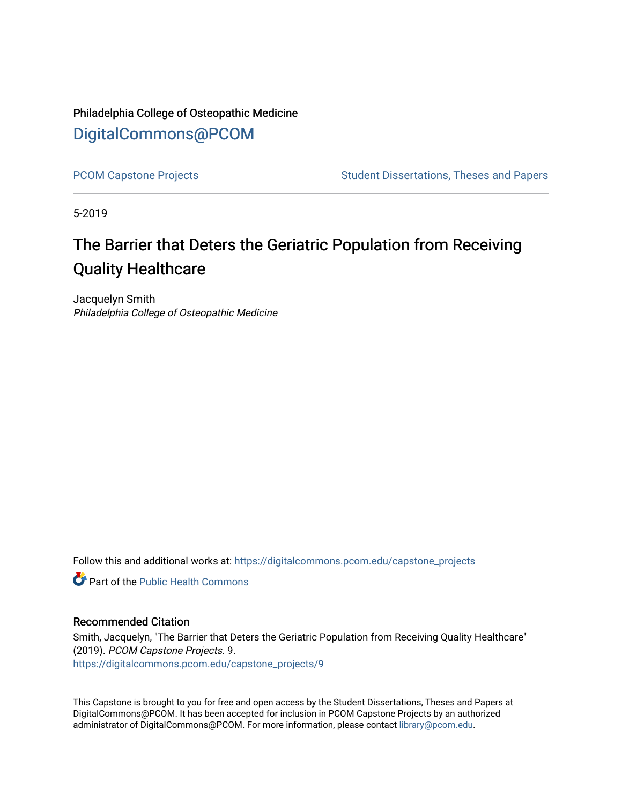Philadelphia College of Osteopathic Medicine [DigitalCommons@PCOM](https://digitalcommons.pcom.edu/) 

[PCOM Capstone Projects](https://digitalcommons.pcom.edu/capstone_projects) **Student Dissertations, Theses and Papers** Student Dissertations, Theses and Papers

5-2019

# The Barrier that Deters the Geriatric Population from Receiving Quality Healthcare

Jacquelyn Smith Philadelphia College of Osteopathic Medicine

Follow this and additional works at: [https://digitalcommons.pcom.edu/capstone\\_projects](https://digitalcommons.pcom.edu/capstone_projects?utm_source=digitalcommons.pcom.edu%2Fcapstone_projects%2F9&utm_medium=PDF&utm_campaign=PDFCoverPages)

**C** Part of the Public Health Commons

#### Recommended Citation

Smith, Jacquelyn, "The Barrier that Deters the Geriatric Population from Receiving Quality Healthcare" (2019). PCOM Capstone Projects. 9. [https://digitalcommons.pcom.edu/capstone\\_projects/9](https://digitalcommons.pcom.edu/capstone_projects/9?utm_source=digitalcommons.pcom.edu%2Fcapstone_projects%2F9&utm_medium=PDF&utm_campaign=PDFCoverPages) 

This Capstone is brought to you for free and open access by the Student Dissertations, Theses and Papers at DigitalCommons@PCOM. It has been accepted for inclusion in PCOM Capstone Projects by an authorized administrator of DigitalCommons@PCOM. For more information, please contact [library@pcom.edu.](mailto:library@pcom.edu)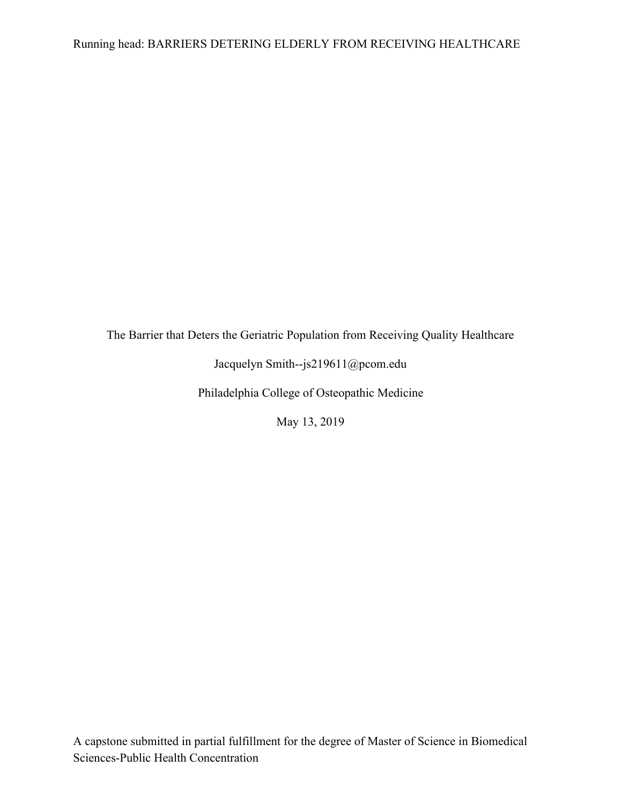The Barrier that Deters the Geriatric Population from Receiving Quality Healthcare

Jacquelyn Smith--js219611@pcom.edu

Philadelphia College of Osteopathic Medicine

May 13, 2019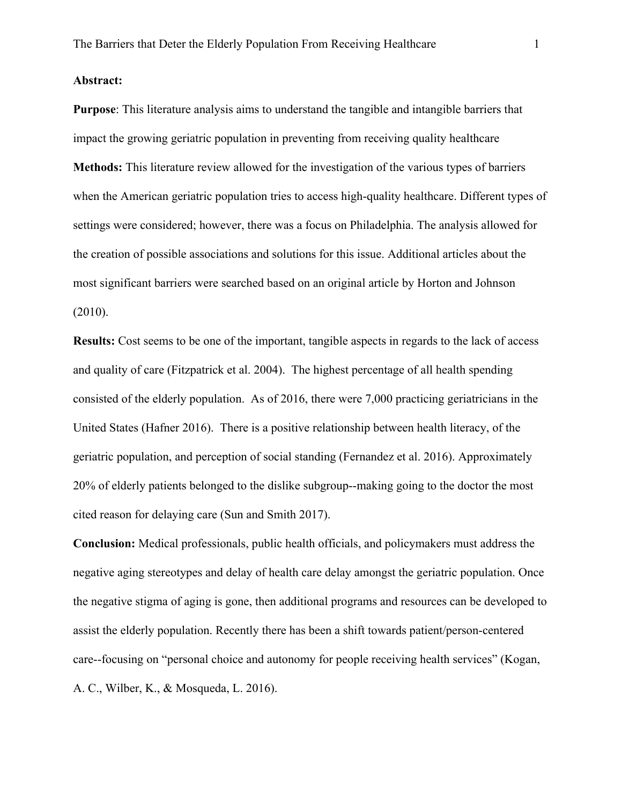# **Abstract:**

**Purpose**: This literature analysis aims to understand the tangible and intangible barriers that impact the growing geriatric population in preventing from receiving quality healthcare **Methods:** This literature review allowed for the investigation of the various types of barriers when the American geriatric population tries to access high-quality healthcare. Different types of settings were considered; however, there was a focus on Philadelphia. The analysis allowed for the creation of possible associations and solutions for this issue. Additional articles about the most significant barriers were searched based on an original article by Horton and Johnson (2010).

**Results:** Cost seems to be one of the important, tangible aspects in regards to the lack of access and quality of care (Fitzpatrick et al. 2004). The highest percentage of all health spending consisted of the elderly population. As of 2016, there were 7,000 practicing geriatricians in the United States (Hafner 2016). There is a positive relationship between health literacy, of the geriatric population, and perception of social standing (Fernandez et al. 2016). Approximately 20% of elderly patients belonged to the dislike subgroup--making going to the doctor the most cited reason for delaying care (Sun and Smith 2017).

**Conclusion:** Medical professionals, public health officials, and policymakers must address the negative aging stereotypes and delay of health care delay amongst the geriatric population. Once the negative stigma of aging is gone, then additional programs and resources can be developed to assist the elderly population. Recently there has been a shift towards patient/person-centered care--focusing on "personal choice and autonomy for people receiving health services" (Kogan, A. C., Wilber, K., & Mosqueda, L. 2016).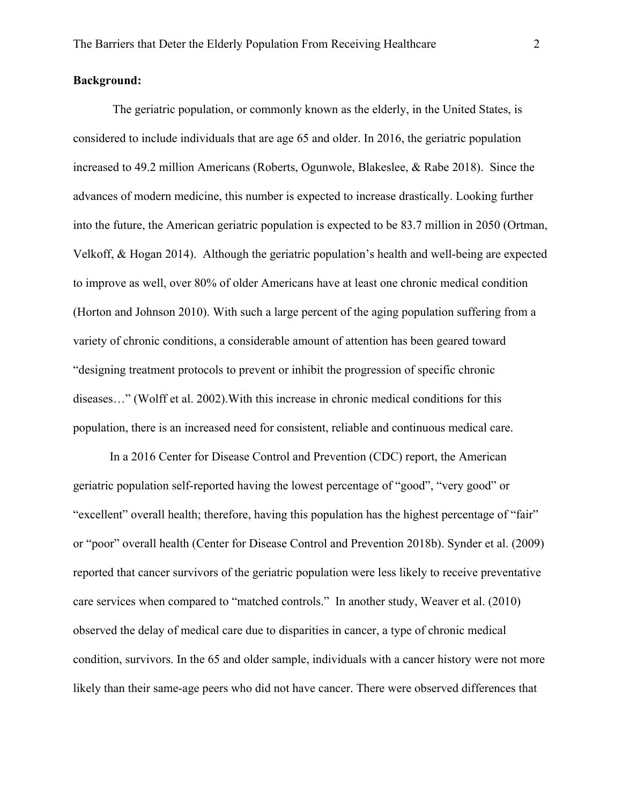# **Background:**

The geriatric population, or commonly known as the elderly, in the United States, is considered to include individuals that are age 65 and older. In 2016, the geriatric population increased to 49.2 million Americans (Roberts, Ogunwole, Blakeslee, & Rabe 2018). Since the advances of modern medicine, this number is expected to increase drastically. Looking further into the future, the American geriatric population is expected to be 83.7 million in 2050 (Ortman, Velkoff, & Hogan 2014). Although the geriatric population's health and well-being are expected to improve as well, over 80% of older Americans have at least one chronic medical condition (Horton and Johnson 2010). With such a large percent of the aging population suffering from a variety of chronic conditions, a considerable amount of attention has been geared toward "designing treatment protocols to prevent or inhibit the progression of specific chronic diseases…" (Wolff et al. 2002).With this increase in chronic medical conditions for this population, there is an increased need for consistent, reliable and continuous medical care.

In a 2016 Center for Disease Control and Prevention (CDC) report, the American geriatric population self-reported having the lowest percentage of "good", "very good" or "excellent" overall health; therefore, having this population has the highest percentage of "fair" or "poor" overall health (Center for Disease Control and Prevention 2018b). Synder et al. (2009) reported that cancer survivors of the geriatric population were less likely to receive preventative care services when compared to "matched controls." In another study, Weaver et al. (2010) observed the delay of medical care due to disparities in cancer, a type of chronic medical condition, survivors. In the 65 and older sample, individuals with a cancer history were not more likely than their same-age peers who did not have cancer. There were observed differences that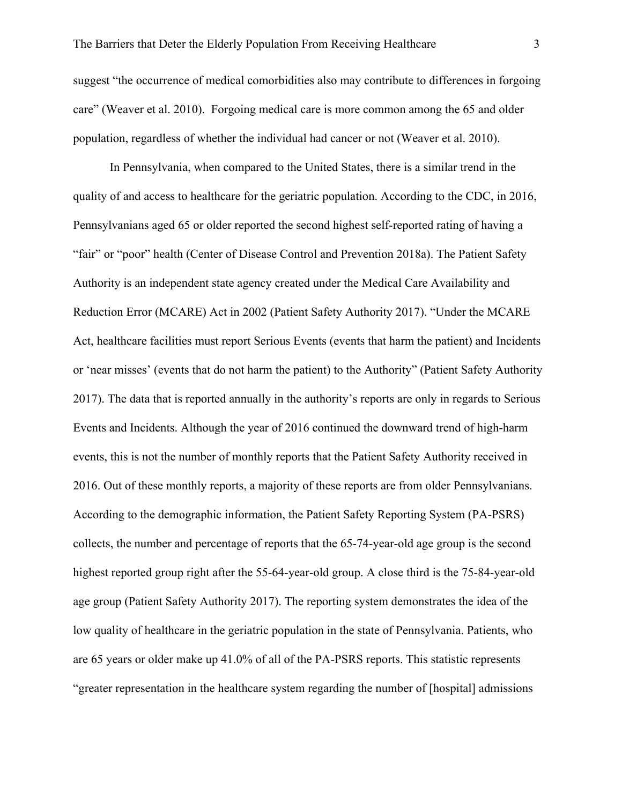suggest "the occurrence of medical comorbidities also may contribute to differences in forgoing care" (Weaver et al. 2010). Forgoing medical care is more common among the 65 and older population, regardless of whether the individual had cancer or not (Weaver et al. 2010).

In Pennsylvania, when compared to the United States, there is a similar trend in the quality of and access to healthcare for the geriatric population. According to the CDC, in 2016, Pennsylvanians aged 65 or older reported the second highest self-reported rating of having a "fair" or "poor" health (Center of Disease Control and Prevention 2018a). The Patient Safety Authority is an independent state agency created under the Medical Care Availability and Reduction Error (MCARE) Act in 2002 (Patient Safety Authority 2017). "Under the MCARE Act, healthcare facilities must report Serious Events (events that harm the patient) and Incidents or 'near misses' (events that do not harm the patient) to the Authority" (Patient Safety Authority 2017). The data that is reported annually in the authority's reports are only in regards to Serious Events and Incidents. Although the year of 2016 continued the downward trend of high-harm events, this is not the number of monthly reports that the Patient Safety Authority received in 2016. Out of these monthly reports, a majority of these reports are from older Pennsylvanians. According to the demographic information, the Patient Safety Reporting System (PA-PSRS) collects, the number and percentage of reports that the 65-74-year-old age group is the second highest reported group right after the 55-64-year-old group. A close third is the 75-84-year-old age group (Patient Safety Authority 2017). The reporting system demonstrates the idea of the low quality of healthcare in the geriatric population in the state of Pennsylvania. Patients, who are 65 years or older make up 41.0% of all of the PA-PSRS reports. This statistic represents "greater representation in the healthcare system regarding the number of [hospital] admissions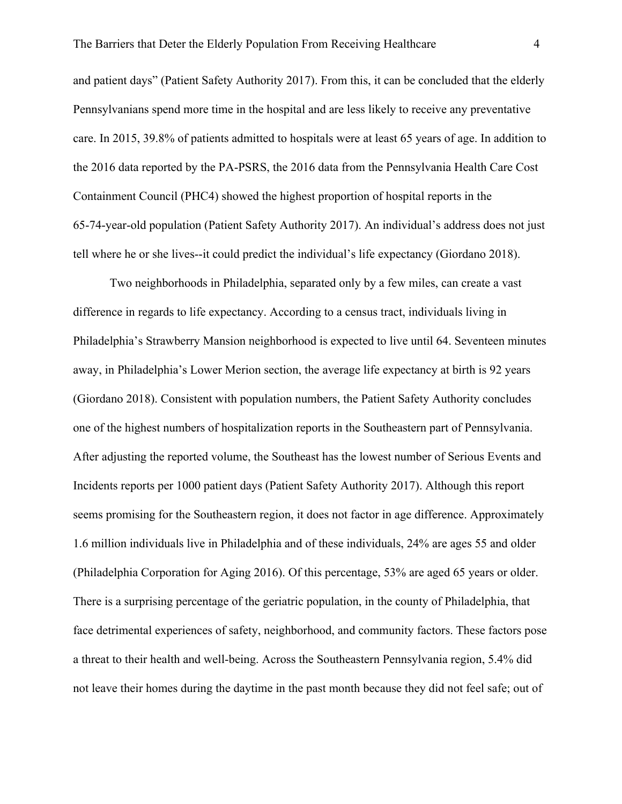and patient days" (Patient Safety Authority 2017). From this, it can be concluded that the elderly Pennsylvanians spend more time in the hospital and are less likely to receive any preventative care. In 2015, 39.8% of patients admitted to hospitals were at least 65 years of age. In addition to the 2016 data reported by the PA-PSRS, the 2016 data from the Pennsylvania Health Care Cost Containment Council (PHC4) showed the highest proportion of hospital reports in the 65-74-year-old population (Patient Safety Authority 2017). An individual's address does not just tell where he or she lives--it could predict the individual's life expectancy (Giordano 2018).

Two neighborhoods in Philadelphia, separated only by a few miles, can create a vast difference in regards to life expectancy. According to a census tract, individuals living in Philadelphia's Strawberry Mansion neighborhood is expected to live until 64. Seventeen minutes away, in Philadelphia's Lower Merion section, the average life expectancy at birth is 92 years (Giordano 2018). Consistent with population numbers, the Patient Safety Authority concludes one of the highest numbers of hospitalization reports in the Southeastern part of Pennsylvania. After adjusting the reported volume, the Southeast has the lowest number of Serious Events and Incidents reports per 1000 patient days (Patient Safety Authority 2017). Although this report seems promising for the Southeastern region, it does not factor in age difference. Approximately 1.6 million individuals live in Philadelphia and of these individuals, 24% are ages 55 and older (Philadelphia Corporation for Aging 2016). Of this percentage, 53% are aged 65 years or older. There is a surprising percentage of the geriatric population, in the county of Philadelphia, that face detrimental experiences of safety, neighborhood, and community factors. These factors pose a threat to their health and well-being. Across the Southeastern Pennsylvania region, 5.4% did not leave their homes during the daytime in the past month because they did not feel safe; out of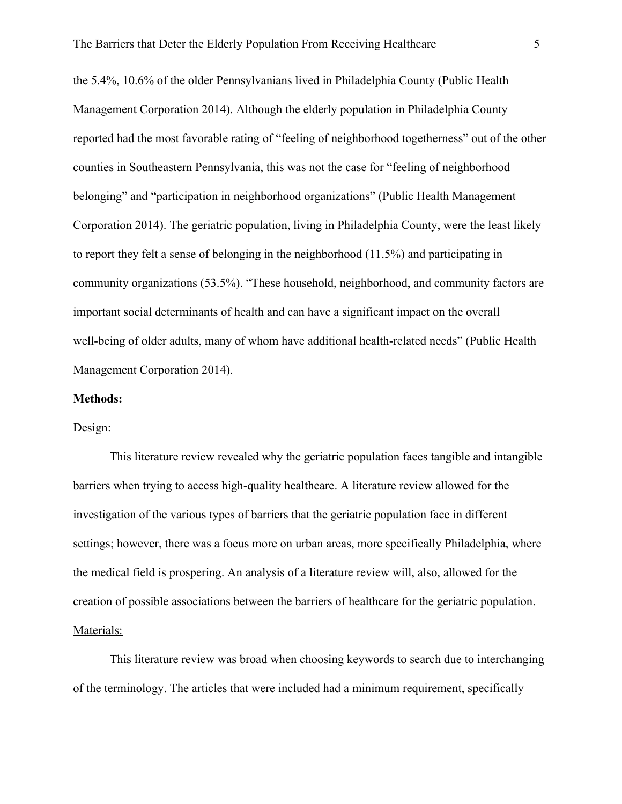the 5.4%, 10.6% of the older Pennsylvanians lived in Philadelphia County (Public Health Management Corporation 2014). Although the elderly population in Philadelphia County reported had the most favorable rating of "feeling of neighborhood togetherness" out of the other counties in Southeastern Pennsylvania, this was not the case for "feeling of neighborhood belonging" and "participation in neighborhood organizations" (Public Health Management Corporation 2014). The geriatric population, living in Philadelphia County, were the least likely to report they felt a sense of belonging in the neighborhood (11.5%) and participating in community organizations (53.5%). "These household, neighborhood, and community factors are important social determinants of health and can have a significant impact on the overall well-being of older adults, many of whom have additional health-related needs" (Public Health Management Corporation 2014).

## **Methods:**

#### Design:

This literature review revealed why the geriatric population faces tangible and intangible barriers when trying to access high-quality healthcare. A literature review allowed for the investigation of the various types of barriers that the geriatric population face in different settings; however, there was a focus more on urban areas, more specifically Philadelphia, where the medical field is prospering. An analysis of a literature review will, also, allowed for the creation of possible associations between the barriers of healthcare for the geriatric population. Materials:

This literature review was broad when choosing keywords to search due to interchanging of the terminology. The articles that were included had a minimum requirement, specifically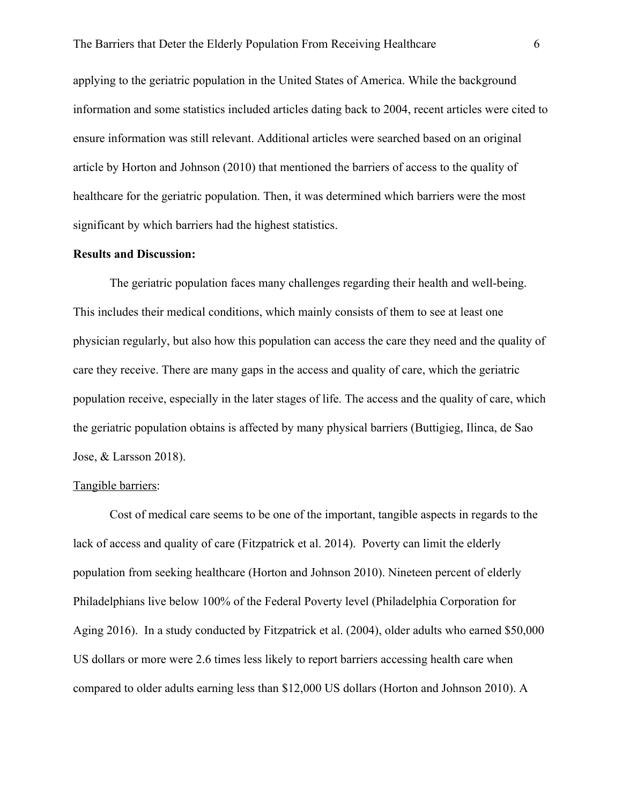applying to the geriatric population in the United States of America. While the background information and some statistics included articles dating back to 2004, recent articles were cited to ensure information was still relevant. Additional articles were searched based on an original article by Horton and Johnson (2010) that mentioned the barriers of access to the quality of healthcare for the geriatric population. Then, it was determined which barriers were the most significant by which barriers had the highest statistics.

## **Results and Discussion:**

The geriatric population faces many challenges regarding their health and well-being. This includes their medical conditions, which mainly consists of them to see at least one physician regularly, but also how this population can access the care they need and the quality of care they receive. There are many gaps in the access and quality of care, which the geriatric population receive, especially in the later stages of life. The access and the quality of care, which the geriatric population obtains is affected by many physical barriers (Buttigieg, Ilinca, de Sao Jose, & Larsson 2018).

#### Tangible barriers:

Cost of medical care seems to be one of the important, tangible aspects in regards to the lack of access and quality of care (Fitzpatrick et al. 2014). Poverty can limit the elderly population from seeking healthcare (Horton and Johnson 2010). Nineteen percent of elderly Philadelphians live below 100% of the Federal Poverty level (Philadelphia Corporation for Aging 2016). In a study conducted by Fitzpatrick et al. (2004), older adults who earned \$50,000 US dollars or more were 2.6 times less likely to report barriers accessing health care when compared to older adults earning less than \$12,000 US dollars (Horton and Johnson 2010). A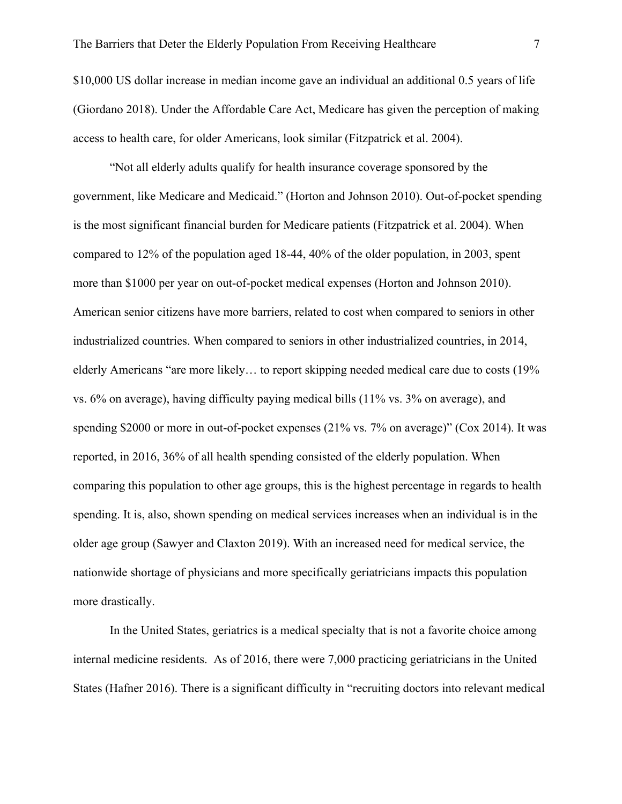\$10,000 US dollar increase in median income gave an individual an additional 0.5 years of life (Giordano 2018). Under the Affordable Care Act, Medicare has given the perception of making access to health care, for older Americans, look similar (Fitzpatrick et al. 2004).

"Not all elderly adults qualify for health insurance coverage sponsored by the government, like Medicare and Medicaid." (Horton and Johnson 2010). Out-of-pocket spending is the most significant financial burden for Medicare patients (Fitzpatrick et al. 2004). When compared to 12% of the population aged 18-44, 40% of the older population, in 2003, spent more than \$1000 per year on out-of-pocket medical expenses (Horton and Johnson 2010). American senior citizens have more barriers, related to cost when compared to seniors in other industrialized countries. When compared to seniors in other industrialized countries, in 2014, elderly Americans "are more likely… to report skipping needed medical care due to costs (19% vs. 6% on average), having difficulty paying medical bills (11% vs. 3% on average), and spending \$2000 or more in out-of-pocket expenses (21% vs. 7% on average)" (Cox 2014). It was reported, in 2016, 36% of all health spending consisted of the elderly population. When comparing this population to other age groups, this is the highest percentage in regards to health spending. It is, also, shown spending on medical services increases when an individual is in the older age group (Sawyer and Claxton 2019). With an increased need for medical service, the nationwide shortage of physicians and more specifically geriatricians impacts this population more drastically.

In the United States, geriatrics is a medical specialty that is not a favorite choice among internal medicine residents. As of 2016, there were 7,000 practicing geriatricians in the United States (Hafner 2016). There is a significant difficulty in "recruiting doctors into relevant medical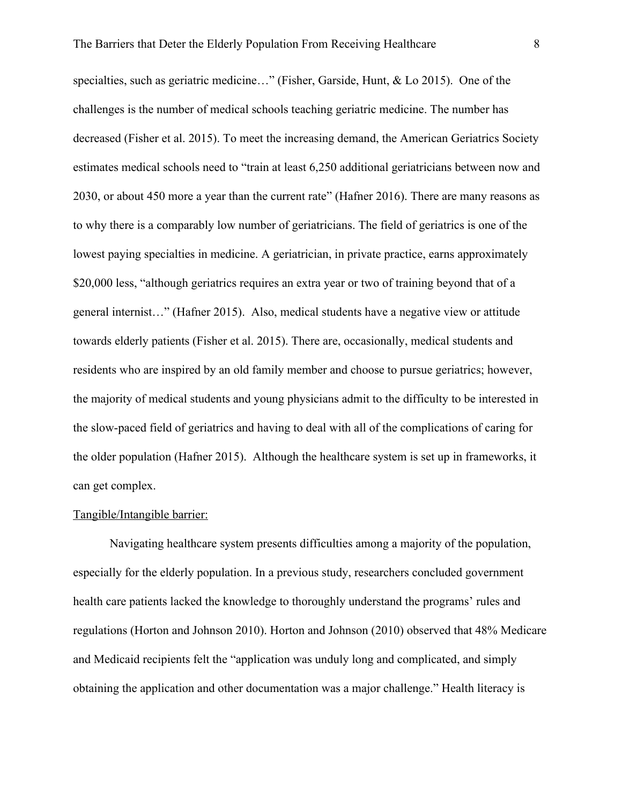specialties, such as geriatric medicine…" (Fisher, Garside, Hunt, & Lo 2015). One of the challenges is the number of medical schools teaching geriatric medicine. The number has decreased (Fisher et al. 2015). To meet the increasing demand, the American Geriatrics Society estimates medical schools need to "train at least 6,250 additional geriatricians between now and 2030, or about 450 more a year than the current rate" (Hafner 2016). There are many reasons as to why there is a comparably low number of geriatricians. The field of geriatrics is one of the lowest paying specialties in medicine. A geriatrician, in private practice, earns approximately \$20,000 less, "although geriatrics requires an extra year or two of training beyond that of a general internist…" (Hafner 2015). Also, medical students have a negative view or attitude towards elderly patients (Fisher et al. 2015). There are, occasionally, medical students and residents who are inspired by an old family member and choose to pursue geriatrics; however, the majority of medical students and young physicians admit to the difficulty to be interested in the slow-paced field of geriatrics and having to deal with all of the complications of caring for the older population (Hafner 2015). Although the healthcare system is set up in frameworks, it can get complex.

## Tangible/Intangible barrier:

Navigating healthcare system presents difficulties among a majority of the population, especially for the elderly population. In a previous study, researchers concluded government health care patients lacked the knowledge to thoroughly understand the programs' rules and regulations (Horton and Johnson 2010). Horton and Johnson (2010) observed that 48% Medicare and Medicaid recipients felt the "application was unduly long and complicated, and simply obtaining the application and other documentation was a major challenge." Health literacy is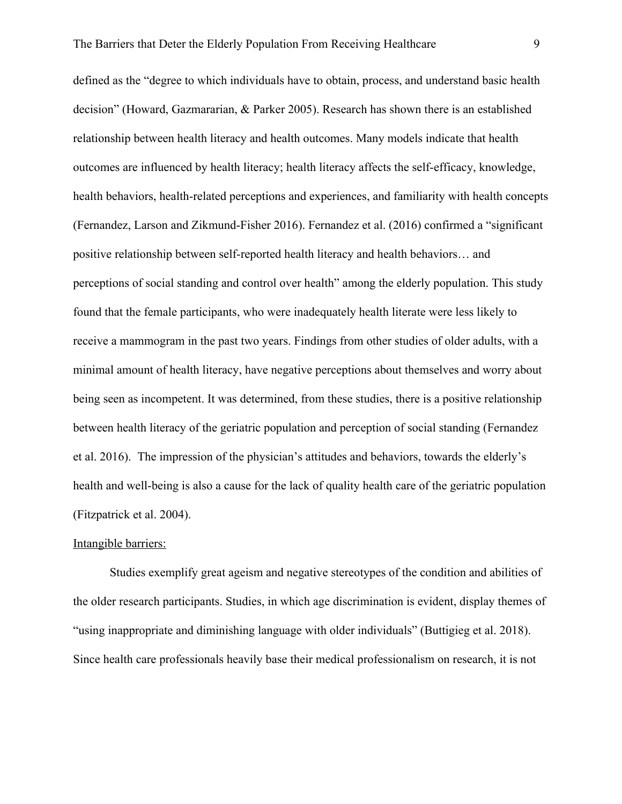defined as the "degree to which individuals have to obtain, process, and understand basic health decision" (Howard, Gazmararian, & Parker 2005). Research has shown there is an established relationship between health literacy and health outcomes. Many models indicate that health outcomes are influenced by health literacy; health literacy affects the self-efficacy, knowledge, health behaviors, health-related perceptions and experiences, and familiarity with health concepts (Fernandez, Larson and Zikmund-Fisher 2016). Fernandez et al. (2016) confirmed a "significant positive relationship between self-reported health literacy and health behaviors… and perceptions of social standing and control over health" among the elderly population. This study found that the female participants, who were inadequately health literate were less likely to receive a mammogram in the past two years. Findings from other studies of older adults, with a minimal amount of health literacy, have negative perceptions about themselves and worry about being seen as incompetent. It was determined, from these studies, there is a positive relationship between health literacy of the geriatric population and perception of social standing (Fernandez et al. 2016). The impression of the physician's attitudes and behaviors, towards the elderly's health and well-being is also a cause for the lack of quality health care of the geriatric population (Fitzpatrick et al. 2004).

## Intangible barriers:

Studies exemplify great ageism and negative stereotypes of the condition and abilities of the older research participants. Studies, in which age discrimination is evident, display themes of "using inappropriate and diminishing language with older individuals" (Buttigieg et al. 2018). Since health care professionals heavily base their medical professionalism on research, it is not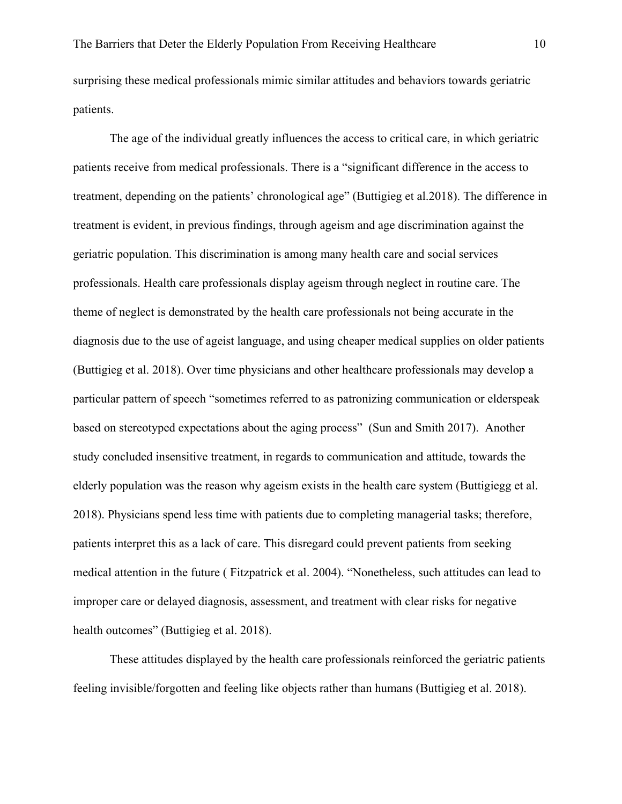surprising these medical professionals mimic similar attitudes and behaviors towards geriatric patients.

The age of the individual greatly influences the access to critical care, in which geriatric patients receive from medical professionals. There is a "significant difference in the access to treatment, depending on the patients' chronological age" (Buttigieg et al.2018). The difference in treatment is evident, in previous findings, through ageism and age discrimination against the geriatric population. This discrimination is among many health care and social services professionals. Health care professionals display ageism through neglect in routine care. The theme of neglect is demonstrated by the health care professionals not being accurate in the diagnosis due to the use of ageist language, and using cheaper medical supplies on older patients (Buttigieg et al. 2018). Over time physicians and other healthcare professionals may develop a particular pattern of speech "sometimes referred to as patronizing communication or elderspeak based on stereotyped expectations about the aging process" (Sun and Smith 2017). Another study concluded insensitive treatment, in regards to communication and attitude, towards the elderly population was the reason why ageism exists in the health care system (Buttigiegg et al. 2018). Physicians spend less time with patients due to completing managerial tasks; therefore, patients interpret this as a lack of care. This disregard could prevent patients from seeking medical attention in the future ( Fitzpatrick et al. 2004). "Nonetheless, such attitudes can lead to improper care or delayed diagnosis, assessment, and treatment with clear risks for negative health outcomes" (Buttigieg et al. 2018).

These attitudes displayed by the health care professionals reinforced the geriatric patients feeling invisible/forgotten and feeling like objects rather than humans (Buttigieg et al. 2018).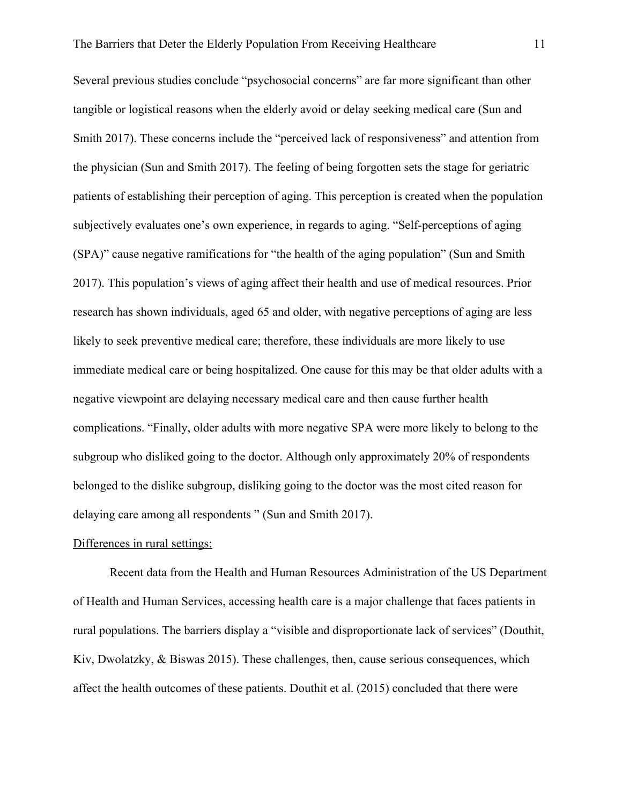Several previous studies conclude "psychosocial concerns" are far more significant than other tangible or logistical reasons when the elderly avoid or delay seeking medical care (Sun and Smith 2017). These concerns include the "perceived lack of responsiveness" and attention from the physician (Sun and Smith 2017). The feeling of being forgotten sets the stage for geriatric patients of establishing their perception of aging. This perception is created when the population subjectively evaluates one's own experience, in regards to aging. "Self-perceptions of aging (SPA)" cause negative ramifications for "the health of the aging population" (Sun and Smith 2017). This population's views of aging affect their health and use of medical resources. Prior research has shown individuals, aged 65 and older, with negative perceptions of aging are less likely to seek preventive medical care; therefore, these individuals are more likely to use immediate medical care or being hospitalized. One cause for this may be that older adults with a negative viewpoint are delaying necessary medical care and then cause further health complications. "Finally, older adults with more negative SPA were more likely to belong to the subgroup who disliked going to the doctor. Although only approximately 20% of respondents belonged to the dislike subgroup, disliking going to the doctor was the most cited reason for delaying care among all respondents " (Sun and Smith 2017).

# Differences in rural settings:

Recent data from the Health and Human Resources Administration of the US Department of Health and Human Services, accessing health care is a major challenge that faces patients in rural populations. The barriers display a "visible and disproportionate lack of services" (Douthit, Kiv, Dwolatzky, & Biswas 2015). These challenges, then, cause serious consequences, which affect the health outcomes of these patients. Douthit et al. (2015) concluded that there were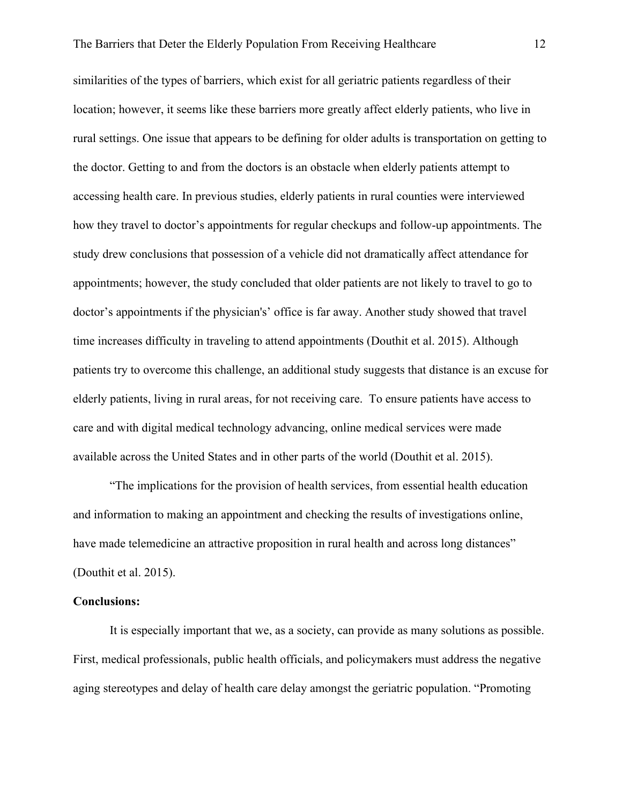similarities of the types of barriers, which exist for all geriatric patients regardless of their location; however, it seems like these barriers more greatly affect elderly patients, who live in rural settings. One issue that appears to be defining for older adults is transportation on getting to the doctor. Getting to and from the doctors is an obstacle when elderly patients attempt to accessing health care. In previous studies, elderly patients in rural counties were interviewed how they travel to doctor's appointments for regular checkups and follow-up appointments. The study drew conclusions that possession of a vehicle did not dramatically affect attendance for appointments; however, the study concluded that older patients are not likely to travel to go to doctor's appointments if the physician's' office is far away. Another study showed that travel time increases difficulty in traveling to attend appointments (Douthit et al. 2015). Although patients try to overcome this challenge, an additional study suggests that distance is an excuse for elderly patients, living in rural areas, for not receiving care. To ensure patients have access to care and with digital medical technology advancing, online medical services were made available across the United States and in other parts of the world (Douthit et al. 2015).

"The implications for the provision of health services, from essential health education and information to making an appointment and checking the results of investigations online, have made telemedicine an attractive proposition in rural health and across long distances" (Douthit et al. 2015).

## **Conclusions:**

It is especially important that we, as a society, can provide as many solutions as possible. First, medical professionals, public health officials, and policymakers must address the negative aging stereotypes and delay of health care delay amongst the geriatric population. "Promoting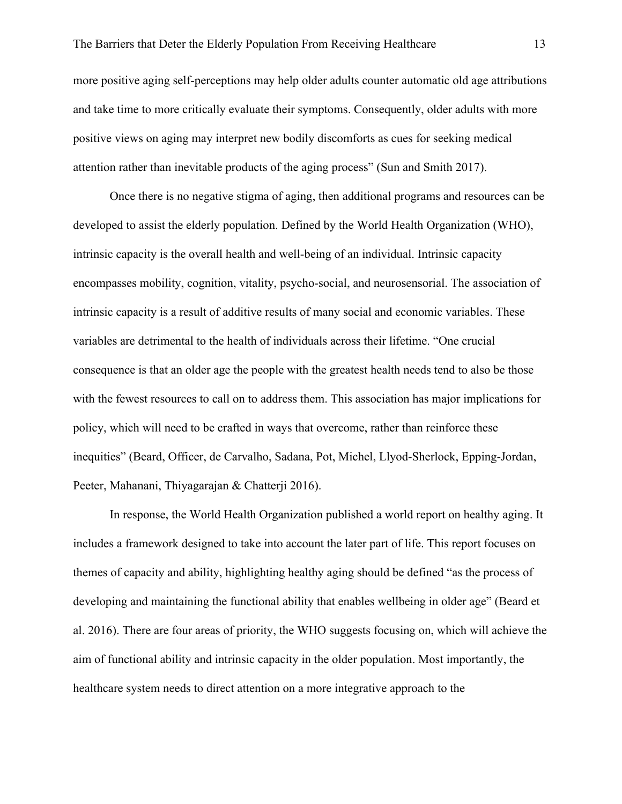more positive aging self-perceptions may help older adults counter automatic old age attributions and take time to more critically evaluate their symptoms. Consequently, older adults with more positive views on aging may interpret new bodily discomforts as cues for seeking medical attention rather than inevitable products of the aging process" (Sun and Smith 2017).

Once there is no negative stigma of aging, then additional programs and resources can be developed to assist the elderly population. Defined by the World Health Organization (WHO), intrinsic capacity is the overall health and well-being of an individual. Intrinsic capacity encompasses mobility, cognition, vitality, psycho-social, and neurosensorial. The association of intrinsic capacity is a result of additive results of many social and economic variables. These variables are detrimental to the health of individuals across their lifetime. "One crucial consequence is that an older age the people with the greatest health needs tend to also be those with the fewest resources to call on to address them. This association has major implications for policy, which will need to be crafted in ways that overcome, rather than reinforce these inequities" (Beard, Officer, de Carvalho, Sadana, Pot, Michel, Llyod-Sherlock, Epping-Jordan, Peeter, Mahanani, Thiyagarajan & Chatterji 2016).

In response, the World Health Organization published a world report on healthy aging. It includes a framework designed to take into account the later part of life. This report focuses on themes of capacity and ability, highlighting healthy aging should be defined "as the process of developing and maintaining the functional ability that enables wellbeing in older age" (Beard et al. 2016). There are four areas of priority, the WHO suggests focusing on, which will achieve the aim of functional ability and intrinsic capacity in the older population. Most importantly, the healthcare system needs to direct attention on a more integrative approach to the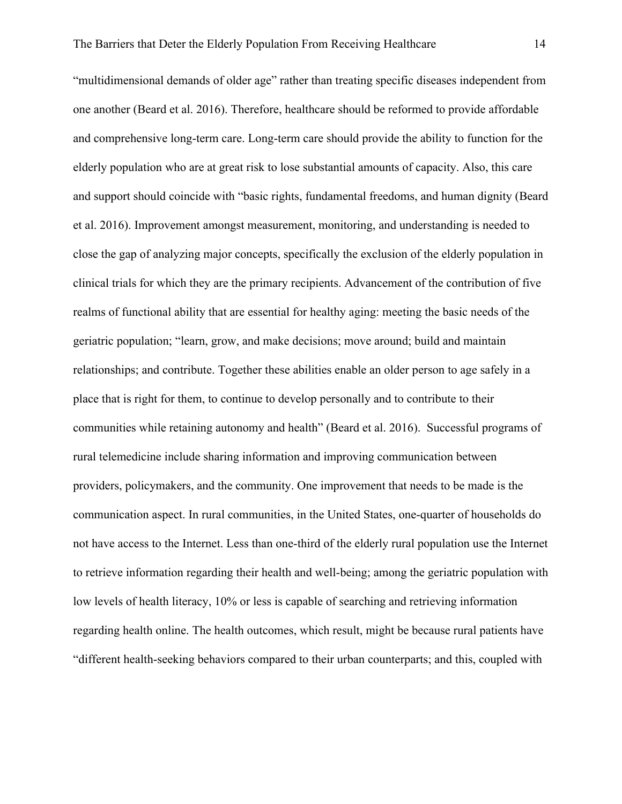"multidimensional demands of older age" rather than treating specific diseases independent from one another (Beard et al. 2016). Therefore, healthcare should be reformed to provide affordable and comprehensive long-term care. Long-term care should provide the ability to function for the elderly population who are at great risk to lose substantial amounts of capacity. Also, this care and support should coincide with "basic rights, fundamental freedoms, and human dignity (Beard et al. 2016). Improvement amongst measurement, monitoring, and understanding is needed to close the gap of analyzing major concepts, specifically the exclusion of the elderly population in clinical trials for which they are the primary recipients. Advancement of the contribution of five realms of functional ability that are essential for healthy aging: meeting the basic needs of the geriatric population; "learn, grow, and make decisions; move around; build and maintain relationships; and contribute. Together these abilities enable an older person to age safely in a place that is right for them, to continue to develop personally and to contribute to their communities while retaining autonomy and health" (Beard et al. 2016). Successful programs of rural telemedicine include sharing information and improving communication between providers, policymakers, and the community. One improvement that needs to be made is the communication aspect. In rural communities, in the United States, one-quarter of households do not have access to the Internet. Less than one-third of the elderly rural population use the Internet to retrieve information regarding their health and well-being; among the geriatric population with low levels of health literacy, 10% or less is capable of searching and retrieving information regarding health online. The health outcomes, which result, might be because rural patients have "different health-seeking behaviors compared to their urban counterparts; and this, coupled with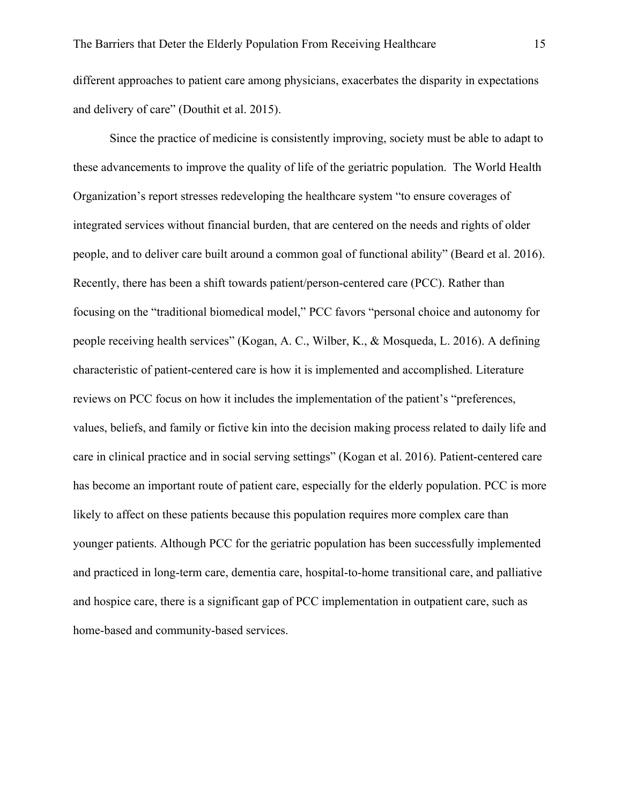different approaches to patient care among physicians, exacerbates the disparity in expectations and delivery of care" (Douthit et al. 2015).

Since the practice of medicine is consistently improving, society must be able to adapt to these advancements to improve the quality of life of the geriatric population. The World Health Organization's report stresses redeveloping the healthcare system "to ensure coverages of integrated services without financial burden, that are centered on the needs and rights of older people, and to deliver care built around a common goal of functional ability" (Beard et al. 2016). Recently, there has been a shift towards patient/person-centered care (PCC). Rather than focusing on the "traditional biomedical model," PCC favors "personal choice and autonomy for people receiving health services" (Kogan, A. C., Wilber, K., & Mosqueda, L. 2016). A defining characteristic of patient-centered care is how it is implemented and accomplished. Literature reviews on PCC focus on how it includes the implementation of the patient's "preferences, values, beliefs, and family or fictive kin into the decision making process related to daily life and care in clinical practice and in social serving settings" (Kogan et al. 2016). Patient-centered care has become an important route of patient care, especially for the elderly population. PCC is more likely to affect on these patients because this population requires more complex care than younger patients. Although PCC for the geriatric population has been successfully implemented and practiced in long-term care, dementia care, hospital-to-home transitional care, and palliative and hospice care, there is a significant gap of PCC implementation in outpatient care, such as home-based and community-based services.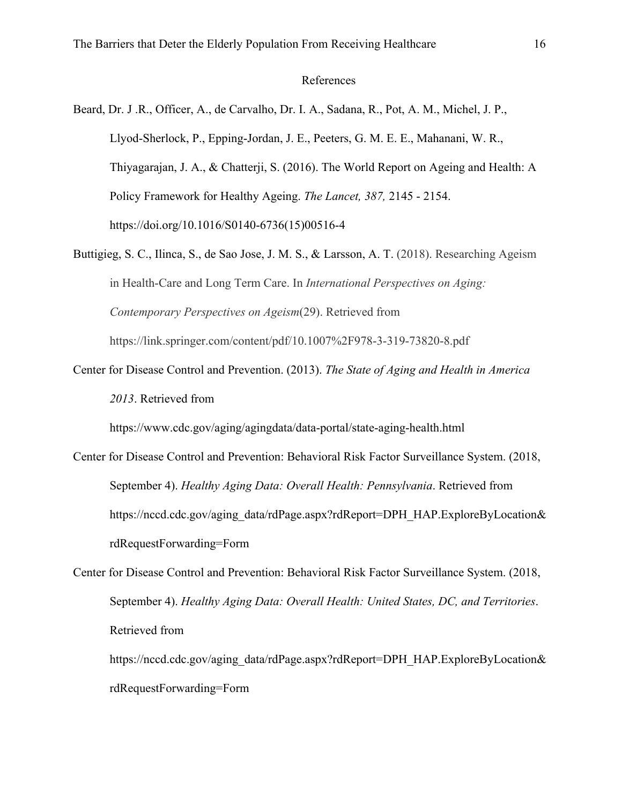# References

Beard, Dr. J .R., Officer, A., de Carvalho, Dr. I. A., Sadana, R., Pot, A. M., Michel, J. P., Llyod-Sherlock, P., Epping-Jordan, J. E., Peeters, G. M. E. E., Mahanani, W. R., Thiyagarajan, J. A., & Chatterji, S. (2016). The World Report on Ageing and Health: A Policy Framework for Healthy Ageing. *The Lancet, 387,* 2145 - 2154. https://doi.org/10.1016/S0140-6736(15)00516-4

- Buttigieg, S. C., Ilinca, S., de Sao Jose, J. M. S., & Larsson, A. T. (2018). Researching Ageism in Health-Care and Long Term Care. In *International Perspectives on Aging: Contemporary Perspectives on Ageism*(29). Retrieved from https://link.springer.com/content/pdf/10.1007%2F978-3-319-73820-8.pdf
- Center for Disease Control and Prevention. (2013). *The State of Aging and Health in America 2013*. Retrieved from

https://www.cdc.gov/aging/agingdata/data-portal/state-aging-health.html

Center for Disease Control and Prevention: Behavioral Risk Factor Surveillance System. (2018, September 4). *Healthy Aging Data: Overall Health: Pennsylvania*. Retrieved from https://nccd.cdc.gov/aging\_data/rdPage.aspx?rdReport=DPH\_HAP.ExploreByLocation& rdRequestForwarding=Form

Center for Disease Control and Prevention: Behavioral Risk Factor Surveillance System. (2018, September 4). *Healthy Aging Data: Overall Health: United States, DC, and Territories*. Retrieved from

https://nccd.cdc.gov/aging\_data/rdPage.aspx?rdReport=DPH\_HAP.ExploreByLocation& rdRequestForwarding=Form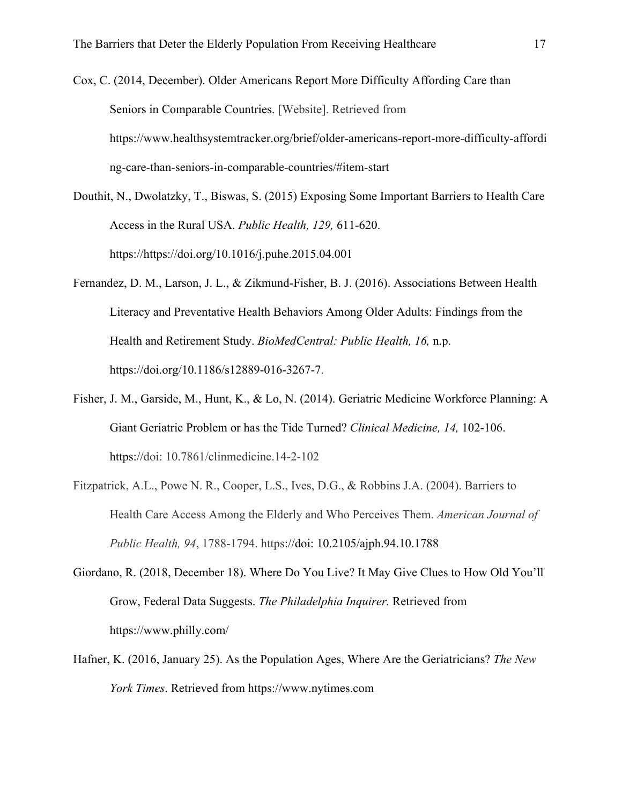Cox, C. (2014, December). Older Americans Report More Difficulty Affording Care than Seniors in Comparable Countries. [Website]. Retrieved from https://www.healthsystemtracker.org/brief/older-americans-report-more-difficulty-affordi ng-care-than-seniors-in-comparable-countries/#item-start

Douthit, N., Dwolatzky, T., Biswas, S. (2015) Exposing Some Important Barriers to Health Care Access in the Rural USA. *Public Health, 129,* 611-620. https://https://doi.org/10.1016/j.puhe.2015.04.001

- Fernandez, D. M., Larson, J. L., & Zikmund-Fisher, B. J. (2016). Associations Between Health Literacy and Preventative Health Behaviors Among Older Adults: Findings from the Health and Retirement Study. *BioMedCentral: Public Health, 16,* n.p. https://doi.org/10.1186/s12889-016-3267-7.
- Fisher, J. M., Garside, M., Hunt, K., & Lo, N. (2014). Geriatric Medicine Workforce Planning: A Giant Geriatric Problem or has the Tide Turned? *Clinical Medicine, 14,* 102-106. https://doi: 10.7861/clinmedicine.14-2-102
- Fitzpatrick, A.L., Powe N. R., Cooper, L.S., Ives, D.G., & Robbins J.A. (2004). Barriers to Health Care Access Among the Elderly and Who Perceives Them. *American Journal of Public Health, 94*, 1788-1794. https://doi: 10.2105/ajph.94.10.1788
- Giordano, R. (2018, December 18). Where Do You Live? It May Give Clues to How Old You'll Grow, Federal Data Suggests. *The Philadelphia Inquirer.* Retrieved from https://www.philly.com/
- Hafner, K. (2016, January 25). As the Population Ages, Where Are the Geriatricians? *The New York Times*. Retrieved from https://www.nytimes.com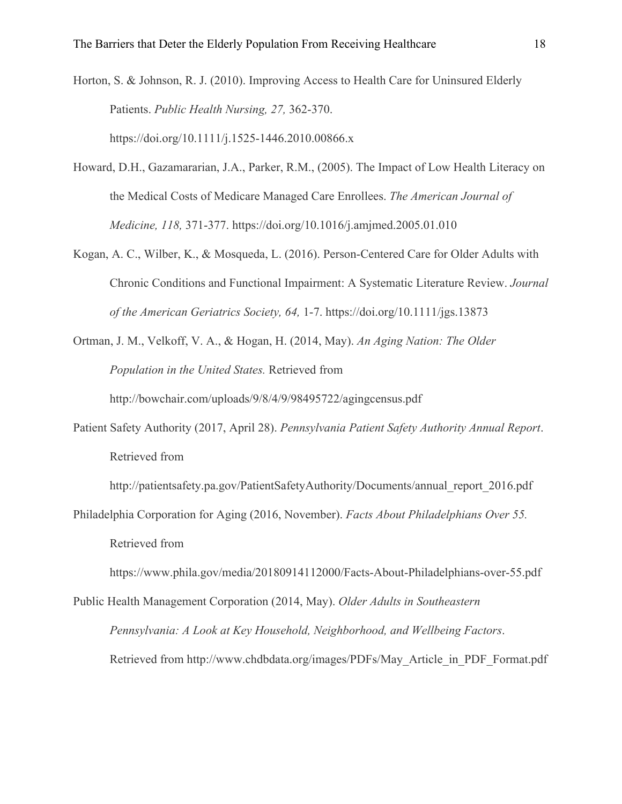Horton, S. & Johnson, R. J. (2010). Improving Access to Health Care for Uninsured Elderly Patients. *Public Health Nursing, 27,* 362-370. https://doi.org/10.1111/j.1525-1446.2010.00866.x

Howard, D.H., Gazamararian, J.A., Parker, R.M., (2005). The Impact of Low Health Literacy on the Medical Costs of Medicare Managed Care Enrollees. *The American Journal of Medicine, 118,* 371-377. https://doi.org/10.1016/j.amjmed.2005.01.010

- Kogan, A. C., Wilber, K., & Mosqueda, L. (2016). Person-Centered Care for Older Adults with Chronic Conditions and Functional Impairment: A Systematic Literature Review. *Journal of the American Geriatrics Society, 64,* 1-7. https://doi.org/10.1111/jgs.13873
- Ortman, J. M., Velkoff, V. A., & Hogan, H. (2014, May). *An Aging Nation: The Older Population in the United States.* Retrieved from http://bowchair.com/uploads/9/8/4/9/98495722/agingcensus.pdf
- Patient Safety Authority (2017, April 28). *Pennsylvania Patient Safety Authority Annual Report*. Retrieved from

http://patientsafety.pa.gov/PatientSafetyAuthority/Documents/annual\_report\_2016.pdf

Philadelphia Corporation for Aging (2016, November). *Facts About Philadelphians Over 55.* Retrieved from

https://www.phila.gov/media/20180914112000/Facts-About-Philadelphians-over-55.pdf

Public Health Management Corporation (2014, May). *Older Adults in Southeastern Pennsylvania: A Look at Key Household, Neighborhood, and Wellbeing Factors*. Retrieved from http://www.chdbdata.org/images/PDFs/May\_Article\_in\_PDF\_Format.pdf